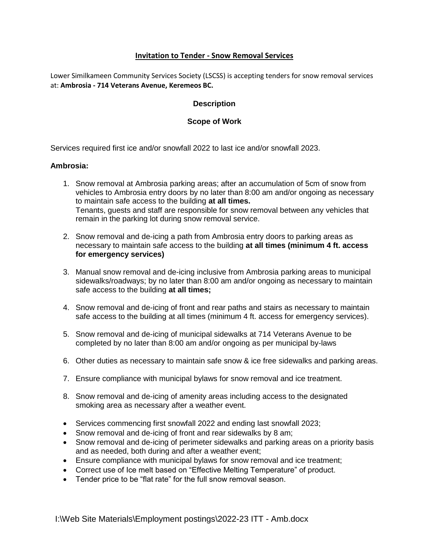## **Invitation to Tender - Snow Removal Services**

Lower Similkameen Community Services Society (LSCSS) is accepting tenders for snow removal services at: **Ambrosia - 714 Veterans Avenue, Keremeos BC.**

### **Description**

### **Scope of Work**

Services required first ice and/or snowfall 2022 to last ice and/or snowfall 2023.

#### **Ambrosia:**

- 1. Snow removal at Ambrosia parking areas; after an accumulation of 5cm of snow from vehicles to Ambrosia entry doors by no later than 8:00 am and/or ongoing as necessary to maintain safe access to the building **at all times.** Tenants, guests and staff are responsible for snow removal between any vehicles that remain in the parking lot during snow removal service.
- 2. Snow removal and de-icing a path from Ambrosia entry doors to parking areas as necessary to maintain safe access to the building **at all times (minimum 4 ft. access for emergency services)**
- 3. Manual snow removal and de-icing inclusive from Ambrosia parking areas to municipal sidewalks/roadways; by no later than 8:00 am and/or ongoing as necessary to maintain safe access to the building **at all times;**
- 4. Snow removal and de-icing of front and rear paths and stairs as necessary to maintain safe access to the building at all times (minimum 4 ft. access for emergency services).
- 5. Snow removal and de-icing of municipal sidewalks at 714 Veterans Avenue to be completed by no later than 8:00 am and/or ongoing as per municipal by-laws
- 6. Other duties as necessary to maintain safe snow & ice free sidewalks and parking areas.
- 7. Ensure compliance with municipal bylaws for snow removal and ice treatment.
- 8. Snow removal and de-icing of amenity areas including access to the designated smoking area as necessary after a weather event.
- Services commencing first snowfall 2022 and ending last snowfall 2023;
- Snow removal and de-icing of front and rear sidewalks by 8 am;
- Snow removal and de-icing of perimeter sidewalks and parking areas on a priority basis and as needed, both during and after a weather event;
- Ensure compliance with municipal bylaws for snow removal and ice treatment;
- Correct use of Ice melt based on "Effective Melting Temperature" of product.
- Tender price to be "flat rate" for the full snow removal season.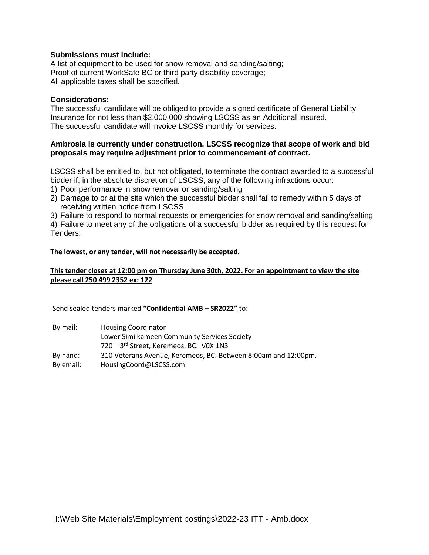### **Submissions must include:**

A list of equipment to be used for snow removal and sanding/salting; Proof of current WorkSafe BC or third party disability coverage; All applicable taxes shall be specified.

#### **Considerations:**

The successful candidate will be obliged to provide a signed certificate of General Liability Insurance for not less than \$2,000,000 showing LSCSS as an Additional Insured. The successful candidate will invoice LSCSS monthly for services.

### **Ambrosia is currently under construction. LSCSS recognize that scope of work and bid proposals may require adjustment prior to commencement of contract.**

LSCSS shall be entitled to, but not obligated, to terminate the contract awarded to a successful bidder if, in the absolute discretion of LSCSS, any of the following infractions occur:

- 1) Poor performance in snow removal or sanding/salting
- 2) Damage to or at the site which the successful bidder shall fail to remedy within 5 days of receiving written notice from LSCSS

3) Failure to respond to normal requests or emergencies for snow removal and sanding/salting

4) Failure to meet any of the obligations of a successful bidder as required by this request for Tenders.

#### **The lowest, or any tender, will not necessarily be accepted.**

### **This tender closes at 12:00 pm on Thursday June 30th, 2022. For an appointment to view the site please call 250 499 2352 ex: 122**

Send sealed tenders marked **"Confidential AMB – SR2022"** to:

| By mail:  | <b>Housing Coordinator</b>                                     |
|-----------|----------------------------------------------------------------|
|           | Lower Similkameen Community Services Society                   |
|           | 720 - 3rd Street, Keremeos, BC. VOX 1N3                        |
| By hand:  | 310 Veterans Avenue, Keremeos, BC. Between 8:00am and 12:00pm. |
| By email: | HousingCoord@LSCSS.com                                         |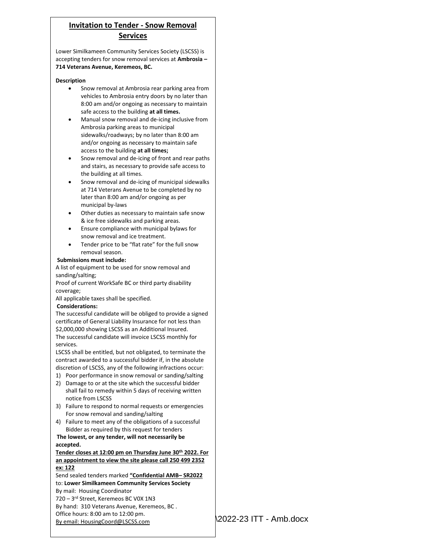# **Invitation to Tender - Snow Removal Services**

Eower similikancent community services society (ESCSS) is<br>accepting tenders for snow removal services at **Ambrosia** – Lower Similkameen Community Services Society (LSCSS) is **714 Veterans Avenue, Keremeos, BC.** 

#### **Description**

- Snow removal at Ambrosia rear parking area from vehicles to Ambrosia entry doors by no later than 8:00 am and/or ongoing as necessary to maintain safe access to the building **at all times.**
- Manual snow removal and de-icing inclusive from Ambrosia parking areas to municipal sidewalks/roadways; by no later than 8:00 am and/or ongoing as necessary to maintain safe access to the building **at all times;**
- Snow removal and de-icing of front and rear paths and stairs, as necessary to provide safe access to the building at all times.
- Snow removal and de-icing of municipal sidewalks at 714 Veterans Avenue to be completed by no later than 8:00 am and/or ongoing as per municipal by-laws
- Other duties as necessary to maintain safe snow & ice free sidewalks and parking areas.
- Ensure compliance with municipal bylaws for snow removal and ice treatment.
- Tender price to be "flat rate" for the full snow removal season.

#### **Submissions must include:**

A list of equipment to be used for snow removal and sanding/salting;

Proof of current WorkSafe BC or third party disability coverage;

All applicable taxes shall be specified.

#### **Considerations:**

The successful candidate will be obliged to provide a signed certificate of General Liability Insurance for not less than \$2,000,000 showing LSCSS as an Additional Insured. The successful candidate will invoice LSCSS monthly for services.

LSCSS shall be entitled, but not obligated, to terminate the contract awarded to a successful bidder if, in the absolute discretion of LSCSS, any of the following infractions occur:

- 1) Poor performance in snow removal or sanding/salting
- 2) Damage to or at the site which the successful bidder shall fail to remedy within 5 days of receiving written notice from LSCSS
- 3) Failure to respond to normal requests or emergencies For snow removal and sanding/salting
- 4) Failure to meet any of the obligations of a successful Bidder as required by this request for tenders

**The lowest, or any tender, will not necessarily be accepted.**

#### **Tender closes at 12:00 pm on Thursday June 30th 2022. For an appointment to view the site please call 250 499 2352 ex: 122**

Send sealed tenders marked **"Confidential AMB– SR2022** to: **Lower Similkameen Community Services Society** By mail: Housing Coordinator 720 – 3 rd Street, Keremeos BC V0X 1N3 By hand: 310 Veterans Avenue, Keremeos, BC . Office hours: 8:00 am to 12:00 pm. By email: HousingCoord@LSCSS.com